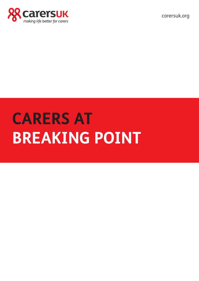

carersuk.org

# **CARERS AT BREAKING POINT**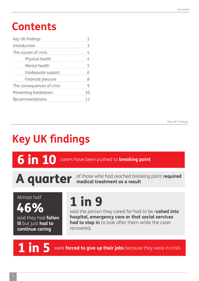## **Contents**

| Key UK findings            |   |
|----------------------------|---|
| Introduction               |   |
| The causes of crisis       |   |
| Physical health            |   |
| Mental health              |   |
| Inadequate support         |   |
| Financial pressure         | 8 |
| The consequences of crisis |   |
| Preventing breakdown       |   |
| <b>Recommendations</b>     |   |

Key UK findings

## **Key UK findings**

6 in 10 carers have been pushed to **breaking point**

A quarter of those who had reached breaking point required

Almost half

said they had **fallen ill** but just **had to continue caring**

## 1 in 9

46% said the person they cared for had to be r**ushed into hospital, emergency care or that social services had to step in** to look after them while the carer recovered.

**1** in 5 were **forced to give up their jobs** because they were in crisis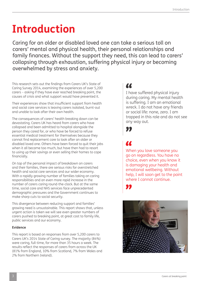## **Introduction**

Caring for an older or disabled loved one can take a serious toll on carers' mental and physical health, their personal relationships and family finances. Without the support they need, this can lead to carers' collapsing through exhaustion, suffering physical injury or becoming overwhelmed by stress and anxiety.

This research sets out the findings from Carers UK's State of Caring Survey 2014, examining the experiences of over 5,200 carers – asking if they have ever reached breaking point, the causes of crisis and what support would have prevented it.

Their experiences show that insufficient support from health and social care services is leaving carers isolated, burnt-out and unable to look after their own health.

The consequences of carers' health breaking down can be devastating. Carers UK has heard from carers who have collapsed and been admitted to hospital alongside the person they cared for, or who have be forced to refuse essential medical treatment for themselves because they cannot find replacement care to look after an older or disabled loved one. Others have been forced to quit their jobs when it all became too much, but have then had to resort to using up their savings or even selling their homes to cope financially.

On top of the personal impact of breakdown on carers and their families, there are serious risks for overstretched health and social care services and our wider economy. With a rapidly growing number of families taking on caring responsibilities and an even more rapid increase in the number of carers caring round-the-clock. But at the same time, social care and NHS services face unprecedented demographic pressures and the Government continues to make sharp cuts to social security.

This divergence between reducing support and families' growing need is unsustainable. This report shows that, unless urgent action is taken we will see even greater numbers of carers pushed to breaking point, at great cost to family life, public services and our economy.

### **Evidence**

This report is based on responses from over 5,200 carers to Carers UK's 2014 State of Caring survey. The majority (84%) were caring, full-time, for more than 35 hours a week. The results reflect the responses of carers from across the UK (81% from England, 10% from Scotland, 7% from Wales and 2% from Northern Ireland).

### $\alpha$

I have suffered physical injury during caring. My mental health is suffering. I am an emotional wreck. I do not have any friends or social life: none, zero. I am trapped in this role and do not see any way out.

77

### **AA**

When you love someone you go on regardless. You have no choice, even when you know it is damaging your health and emotional wellbeing. Without help, I will soon get to the point where I cannot continue.



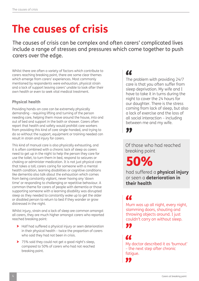## **The causes of crisis**

The causes of crisis can be complex and often carers' complicated lives include a range of stresses and pressures which come together to push carers over the edge.

Whilst there are often a variety of factors which contribute to carers reaching breaking point, there are some clear themes which emerge from carers' experiences. Most commonly mentioned by respondents were exhaustion, physical strain and a lack of support leaving carers' unable to look after their own health or even to seek vital medical treatment.

### **Physical health**

Providing hands-on care can be extremely physically demanding – requiring lifting and turning of the person needing care, helping them move around the house, into and out of bed and support in the bath or shower. Carers often report that health and safety would prohibit care workers from providing this kind of care single-handed, and trying to do so without the support, equipment or training needed can result in strain and injury for carers.

This kind of manual care is also physically exhausting, and it is often combined with a chronic lack of sleep as carers need to get up in the night to help the person they care for use the toilet, to turn them in bed, respond to seizures or choking or administer medication. It is not just physical care that takes a toll; carers caring for someone with a mental health condition, learning disabilities or cognitive conditions like dementia also talk about the exhaustion which comes from being constantly vigilant, never having any 'down time' or responding to challenging or repetitive behaviour. A common theme for carers of people with dementia or those supporting someone with a learning disability was disrupted sleep as they needed to constantly wake up to get the older or disabled person to return to bed if they wander or grow distressed in the night.

Whilst injury, strain and a lack of sleep are common amongst all carers, they are much higher amongst carers who reported reached breaking point:

- > Half had suffered a physical injury or seen deterioration in their physical health – twice the proportion of carers who said they had not been in crisis.
- > 75% said they could not get a good night's sleep, compared to 50% of carers who had not reached breaking point.

### **AA**

The problem with providing 24/7 care is that you often suffer from sleep deprivation. My wife and I have to take it in turns during the night to cover the 24 hours for our daughter. There is the stress coming from lack of sleep, but also a lack of exercise and the loss of all social interaction – including between me and my wife.

77

Of those who had reached breaking point

50%

had suffered a **physical injury**  or seen a **deterioration in their health**

### **AA**

Mum was up all night, every night, slamming doors, shouting and throwing objects around. I just couldn't carry on without sleep.

### **AA**

My doctor described it as 'burnout' – the next step after chronic fatigue.

П.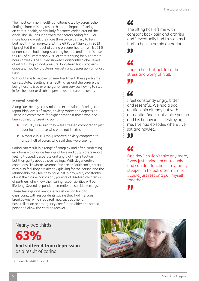The most common health conditions cited by carers echo findings from existing research on the impact of caring on carers' health, particularly for carers caring around the clock. The UK Census showed that carers caring for 50 or more hours a week are more than twice as likely to be in bad health than non-carers.<sup>1</sup> The GP Patient Survey in 2013 highlighted the impact of caring on carer health – whilst 51% of non-carers had a long-standing health condition this rose to 60% of all carers and 70% of carers caring for 50 or more hours a week. The survey showed significantly higher levels of arthritis, high blood pressure, long-term back problems, diabetes, mobility problems, anxiety and depression amongst carers.

Without time to recover or seek treatment, these problems can escalate, resulting in a health crisis and the carer either being hospitalised or emergency care services having to step in for the older or disabled person as the carer recovers.

### **Mental health**

Alongside the physical strain and exhaustion of caring, carers report high levels of stress, anxiety, worry and depression. These indicators were far higher amongst those who had been pushed to breaking point:

- > 9 in 10 (90%) said they were stressed compared to just over half of those who were not in crisis.
- > Almost 8 in 10 (79%) reported anxiety compared to under half of carers who said they were coping.

Caring can result in a range of complex and often conflicting emotions – alongside feelings of love and duty, carers report feeling trapped, desperate and angry at their situation but then guilty about these feelings. With degenerative conditions like Motor Neurone Disease or Parkinson's, carers may also feel they are already grieving for the person and the relationship they feel they have lost. Many worry constantly about the future, particularly parents of disabled children or of partners who know their caring responsibilities will be life-long. Several respondents mentioned suicidal feelings.

These feelings and mental exhaustion can build to crisis point, with respondents saying they had 'nervous breakdowns' which required medical treatment, hospitalisation or emergency care for the older or disabled person to allow the carer to recover.

### $\alpha$

The lifting has left me with constant back pain and arthritis and I eventually had to stop as I had to have a hernia operation.



### **A CONTROL**

I had a heart attack from the stress and worry of it all.

 $\alpha$ 

77

I feel constantly angry, bitter and resentful. We had a bad relationship already but with dementia, Dad is not a nice person and his behaviour is destroying me. I've had episodes where I've sat and howled.

77

### $\alpha$

One day I couldn't take any more, I was just crying uncontrollably and couldn't function – my family stepped in to look after mum so I could just rest and pull myself together.



Nearly two thirds



**had suffered from depression**  as a result of caring.



<sup>&</sup>lt;sup>1</sup> Census analysis (2013) Carers UK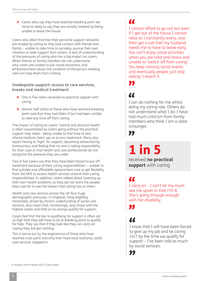> Carers who say they have reached breaking point are twice as likely to say they are socially isolated by being unable to leave the house.

Carers also often find that their personal support networks are eroded by caring as they lose contact with friends and family – unable to take time to socialise, pursue their own interests or seek support from others. A lack of understanding of the pressures of caring also has a big impact on carers. When friends or family members do not understand why carers are unable to join social occasions, and embarrassment about the condition of the person needing care can stop them from visiting.

### **Inadequate support: access to care services, breaks and medical treatment**

- > One in five carers received no practical support with caring.
- > Almost half (46%) of those who have reached breaking point said that they had fallen ill but had been unable to take any time off from caring.

The impact of caring on carers' mental and physical health is often exacerbated by carers going without the practical support they need – being unable to find time to rest, attend medical check-ups or access treatment. Many also report having to 'fight' for support, becoming exhausted by bureaucracy and feeling that no-one is taking responsibility for their case or that health and care professionals do not recognise the pressure they are under.

Two in five carers say that they have been forced to put off treatment because of their caring responsibilities<sup> $2$ </sup> – unable to find suitable and affordable replacement care or get flexibility from the NHS to access health services around their caring responsibilities. In addition, carers talked about covering up their own health problems as they did not want the people they care for to see the impact that caring has on them.

Health and care services across the UK face huge demographic pressures. In England, rising eligibility thresholds, driven by chronic underfunding of social care services, also mean that, increasingly, only those with the highest needs and little or no savings qualify for support.

Carers feel that the bar to qualifying for support is often set so high that they will have to be at breaking point to qualify for help. They say that if they look like they can carry on coping they will get nothing.

This is borne out by the experiences of those who have reached crisis point and only then have local authority social care services stepped in.

### 77

I cannot afford to go out but even if I get out of the house I cannot relax as I constantly worry, and then get a call that my husband needs me to have to leave early. You can't enjoy social activities when you are tired and stress and unable to 'switch off from caring'. You keep missing social events and eventually people just stop asking. I resent it.

**AA** 

77

I can do nothing for me whilst doing my caring role. Others do not understand what I do. I have had much criticism from family members who think I am a state scrounger.

"

## 1 in 5

received **no practical support** with caring

77 I carry on – I can't let my mum see me upset or that I'm ill. She's going through enough with her disability.

"

"

I know that I will have been forced to give up my job and be caring 24/7 by the time we qualify for support – I've been told as much by social services.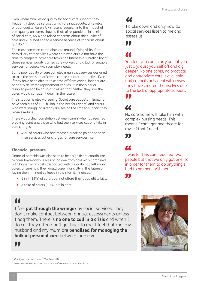Even where families do qualify for social care support, they frequently describe services which are inadequate, unreliable or poor quality. Carers UK's recent research into the impact of care quality on carers showed that, of respondents in receipt of social care, 48% had raised concerns about the quality of care and 29% had ended a service because of concerns about quality.3

The most common complaints are around 'flying visits' from domiciliary care services where care workers did not have the time to complete basic care tasks, the lateness or unreliability of these services, poorly trained care workers and a lack of suitable services for people with complex needs.

Some poor quality of care can also mean that services designed to take the pressure off carers can be counter-productive. Even if they have been able to take time off from caring, inadequate or poorly delivered replacement can result in the older or disabled person being so distressed that neither they, nor the carer, would consider it again in the future.

The situation is also worsening. Social care budgets in England have seen cuts of  $£3.5$  billion in the last four years<sup>4</sup> and carers who were struggling already are seeing the limited support they receive reduce.

There was a clear correlation between carers who had reached breaking point and those who had seen services cut or a hike in care charges.

> 45% of carers who had reached breaking point had seen their services cut or charges for care services rise.

### **Financial pressure**

Financial hardship was also seen to be a significant contributor to carer breakdown. A loss of income from paid work combined with higher living costs associated with disability had left many carers unsure how they would cope financially in the future or facing the imminent collapse in their family finances.

- > 1 in 7 (13%) of carers cannot afford their basic utility bills.
- > A third of carers (30%) are in debt.

### $\alpha$

I broke down and only now do social services listen to me and assess us.

77

You feel you can't carry on but you just cry, dust yourself off and dig deeper. No one cares, no practical and appropriate care is available and councils only deal with crises they have created themselves due to the lack of appropriate support. 77

No care home will take him with complex nursing needs. This means I can't get healthcare for myself that I need.

77

I was told his care required two people but that we only got one, so in order for them to do anything I had to be there with her.

99

### $\alpha$

I feel **put through the wringer** by social services. They don't make contact between annual assessments unless I nag them. There is **no one to call in a crisis** and when I do call they often don't get back to me. I feel that me, my husband and my mum are **penalised for managing the bulk of personal care** between ourselves.





<sup>3</sup> Quality of care and carers (2014) Carers UK

<sup>4</sup> ADASS Budget Report (2014) Association of Directors of Adult Social Care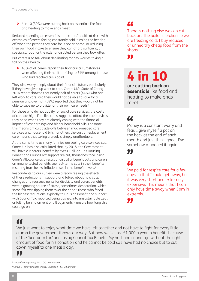> 4 in 10 (39%) were cutting back on essentials like food and heating to make ends meet.

Reduced spending on essentials puts carers' health at risk – with examples of carers feeling constantly cold, turning the heating off when the person they care for is not at home, or reducing their own food intake to ensure they can afford sufficient, or specialist, food for the older or disabled person they look after.

But carers also talk about debilitating money worries taking a toll on their health.

> 45% of all carers report their financial circumstances were affecting their health – rising to 54% amongst those who had reached crisis point.

They also worry deeply about their financial future, particularly if they have given up work to care. Carers UK's State of Caring 2014 report showed that nearly half of carers (44%) who had left work to care said they would not be able to save for a pension and over half (58%) reported that they would not be able to save up to provide for their own care needs.<sup>5</sup>

For those who do not qualify for social care services, the costs of care are high. Families can struggle to afford the care services they need when they are already coping with the financial impact of lost earnings and higher household bills. For some, this means difficult trade-offs between much-needed care services and household bills; for others the cost of replacement care means that taking a break is simply unaffordable.

At the same time as many families are seeing care services cut, Carers UK has also calculated that, by 2018, the Government will have cut carers' benefits by over £1 billion – as Housing Benefit and Council Tax support are cut, thousands face losing Carer's Allowance as a result of disability benefit cuts and carers on means-tested benefits see real-terms cuts in their benefits resulting from below-inflation rises in the benefit levels.<sup>6</sup>

Respondents to our survey were already feeling the effects of these reductions in support, and talked about how cuts, changes and reassessments for disability and carers benefits were a growing source of stress, sometimes desperation, which some felt was tipping them 'over the edge.' Those who faced the biggest reductions, typically to Housing Benefit and support with Council Tax, reported being pushed into unsustainable debt or falling behind on rent or bill payments – unsure how long this could go on.

### $\alpha$

There is nothing else we can cut back on. The boiler is broken so we are freezing cold. I buy reduced or unhealthy cheap food from the shops.

П.

## 4 in 10

are **cutting back on essentials** like food and heating to make ends meet.

### U

Money is a constant worry and fear. I give myself a pat on the back at the end of each month and just think 'good, I've somehow managed it again'.

### 77

**ACCES** 

We paid for respite care for a few days so that I could get away, but it was very short and extremely expensive. This means that I can only have time away when I am in extremis.

### $\alpha$

We just want to enjoy what time we have left together and not have to fight for every little crumb the government throws our way. But now we've lost £1,000 a year in benefits because of the 'bedroom tax' and losing Council Tax Benefit. My husband cannot go without the right amount of food for his condition and he cannot be cold so I have had no choice but to cut down myself to one meal a day.

### "

5 State of Caring Survey 2014 (2014) Carers UK <sup>6</sup> Caring & Family Finances Inquiry UK Report (2014) Carers UK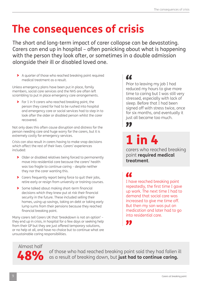## **The consequences of crisis**

The short and long-term impact of carer collapse can be devastating. Carers can end up in hospital – often panicking about what is happening with the person they look after, or sometimes in a double admission alongside their ill or disabled loved one.

> A quarter of those who reached breaking point required medical treatment as a result.

Unless emergency plans have been put in place, family members, social care services and the NHS are often left scrambling to put in place emergency care arrangements.

> For 1 in 9 carers who reached breaking point, the person they cared for had to be rushed into hospital and emergency care or social services had to step in to look after the older or disabled person whilst the carer recovered.

Not only does this often cause disruption and distress for the person needing care and huge worry for the carers, but it is extremely costly for emergency services.

Crisis can also result in carers having to make snap decisions which affect the rest of their lives. Carers' experiences included:

- > Older or disabled relatives being forced to permanently move into residential care because the carers' health was too fragile to continue caring – despite neither they nor the carer wanting this.
- > Carers frequently report being force to quit their jobs, retire early or resign from university or training courses.
- > Some talked about making short-term financial decisions which they knew put at risk their financial security in the future. These included selling their homes, using up savings, taking on debt or taking early lump sums from their pensions because they reached financial breaking point.

Many carers tell Carers UK that 'breakdown is not an option' – they end up in crisis, in hospital for a few days or seeking help from their GP but they are just offered temporary solutions, or no help at all, and have no choice but to continue what are unsustainable caring responsibilities.

### 77

Prior to leaving my job I had reduced my hours to give more time to caring but I was still very stressed, especially with lack of sleep. Before that I had been signed off with stress twice, once for six months, and eventually it just all became too much.

77

## 1 in 4

carers who reached breaking point **required medical treatment**.

"

I have reached breaking point repeatedly, the first time I gave up work. The next time I had to demand that social care was increased to give me time off. But then my son was put on medication and later had to go into residential care.

77

# Almost half

of those who had reached breaking point said they had fallen ill as a result of breaking down, but **just had to continue caring.**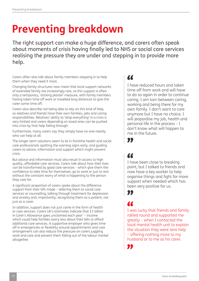## **Preventing breakdown**

The right support can make a huge difference, and carers often speak about moments of crisis having finally led to NHS or social care services realising the pressure they are under and stepping in to provide more help.

Carers often also talk about family members stepping in to help them when they need it most.

Changing family structures now mean that local support networks of extended family are increasingly rare, so this support is often only a temporary, 'sticking plaster' measure, with family members having taken time off work or travelled long distances to give the carer some time off.

Carers also describe not being able to rely on this kind of help, as relatives and friends have their own families, jobs and caring responsibilities. Relatives' ability to 'drop everything' in a crisis is very limited and carers depending on loved ones can be pushed into crisis by that help falling through.

Furthermore, many carers say they simply have no-one nearby who can help at all.

The longer-term solutions seem to lie in frontline health and social care professionals spotting the warning signs early, and guiding carers to advice, information and support which might prevent crisis.

But advice and information must also result in access to high quality, affordable care services. Carers talk about how their lives can be transformed by good care services – which give them the confidence to take time for themselves, go to work or just to rest without the constant worry of what is happening to the person they care for.

A significant proportion of carers spoke about the difference support from their GPs made – referring them to social care services or counselling, talking through treatment for depression and anxiety and, importantly, recognising them as a patient, not just as a carer.

In addition, support does not just come in the form of health or care services. Carers UK's estimates indicate that £1 billion in Carer's Allowance goes unclaimed each year<sup>7</sup> – income which could help families worry less about their bills or afford additional care services. A supportive employer who gives time off in emergencies or flexibility around appointments and care arrangement can also reduce the pressure on carers juggling work and care and prevent them falling out of the labour market altogether.

### $\alpha$

I have reduced hours and taken time off from work and will have to do so again in order to continue caring. I am torn between caring, working and being there for my own family. I don't want to care anymore but I have no choice. I will jeopardise my job, health and personal life in the process – I don't know what will happen to me in the future.

### "

### $\alpha$

I have been close to breaking point, but I talked to friends and now have a key worker to help organise things and fight for more support when needed which has been very positive for us.

### **AA**

77

I was lucky that friends and family rallied round and supported me greatly – when I contacted the local mental health unit to explain the situation they were zero help – offering nothing more to my husband or to me as his carer.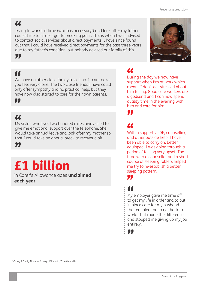### "

Trying to work full time (which is necessary!) and look after my father caused me to almost get to breaking point. This is when I was advised to contact social services about direct payments. I have since found out that I could have received direct payments for the past three years due to my father's condition, but nobody advised our family of this.

### $\alpha$

"

We have no other close family to call on. It can make you feel very alone. The two close friends I have could only offer sympathy and no practical help, but they have now also started to care for their own parents.

### 99

### $\alpha$

My sister, who lives two hundred miles away used to give me emotional support over the telephone. She would take annual leave and look after my mother so that I could take an annual break to recover a bit.

"

## £1 billion

in Carer's Allowance goes **unclaimed each year**

### "

During the day we now have support when I'm at work which means I don't get stressed about him falling. Good care workers are a godsend and I can now spend quality time in the evening with him and care for him.

## 77

99

With a supportive GP, counselling and other outside help, I have been able to carry on, better equipped. I was going through a period of feeling very upset. The time with a counsellor and a short course of sleeping tablets helped me try to re-establish a better sleeping pattern.

### $\alpha$

99

My employer gave me time off to get my life in order and to put in place care for my husband that enabled me to get back to work. That made the difference and stopped me giving up my job entirely.

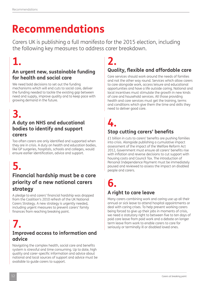## **Recommendations**

Carers UK is publishing a full manifesto for the 2015 election, including the following key measures to address carer breakdown.

## **1.**

### **An urgent new, sustainable funding for health and social care**

We need bold decisions to set out the funding mechanisms which will end cuts to social care, deliver the funding needed to tackle the existing gap between need and supply, improve quality and to keep pace with growing demand in the future.

## **3.**

### **A duty on NHS and educational bodies to identify and support carers**

Too often carers are only identified and supported when they are in crisis. A duty on health and education bodies, like GP surgeries, hospitals, schools and colleges, would ensure earlier identification, advice and support.

## **5.**

### **Financial hardship must be a core priority of a new national carers strategy**

A pledge to end carers' financial hardship was dropped from the Coalition's 2010 refresh of the UK National Carers Strategy. A new strategy is urgently needed, including urgent measures to prevent carers' family finances from reaching breaking point.

### **7. Improved access to information and advice**

Navigating the complex health, social care and benefits system is stressful and time consuming. Up to date, high quality and carer-specific information and advice about national and local sources of support and advice must be available to guide carers to support.

### **Quality, flexible and affordable care 2.**

Care services should work around the needs of families and not the other way round. Services which allow carers to care alongside work, access leisure and educational opportunities and have a life outside caring. National and local incentives must stimulate the growth in new kinds of care and household services. All those providing health and care services must get the training, terms and conditions which give them the time and skills they need to deliver good care.

## **4.**

### **Stop cutting carers' benefits**

£1 billion in cuts to carers' benefits are pushing families into crisis. Alongside publishing a cumulative impact assessment of the impact of the Welfare Reform Act 2012, Government must ensure all carers' benefits rise with inflation and reverse decisions to cut support with housing costs and Council Tax. The introduction of Personal Independence Payment must be immediately paused and reviewed to assess the impact on disabled people and carers.

# **6.**

### **A right to care leave**

Many carers combining work and caring use up all their annual or sick leave to attend hospital appointments or deal with caring crises. To help prevent working carers being forced to give up their jobs in moments of crisis, we need a statutory right to between five to ten days of paid care leave from paid work and a debate on longer term leave from work to enable carers to care for seriously or terminally ill or disabled loved ones.